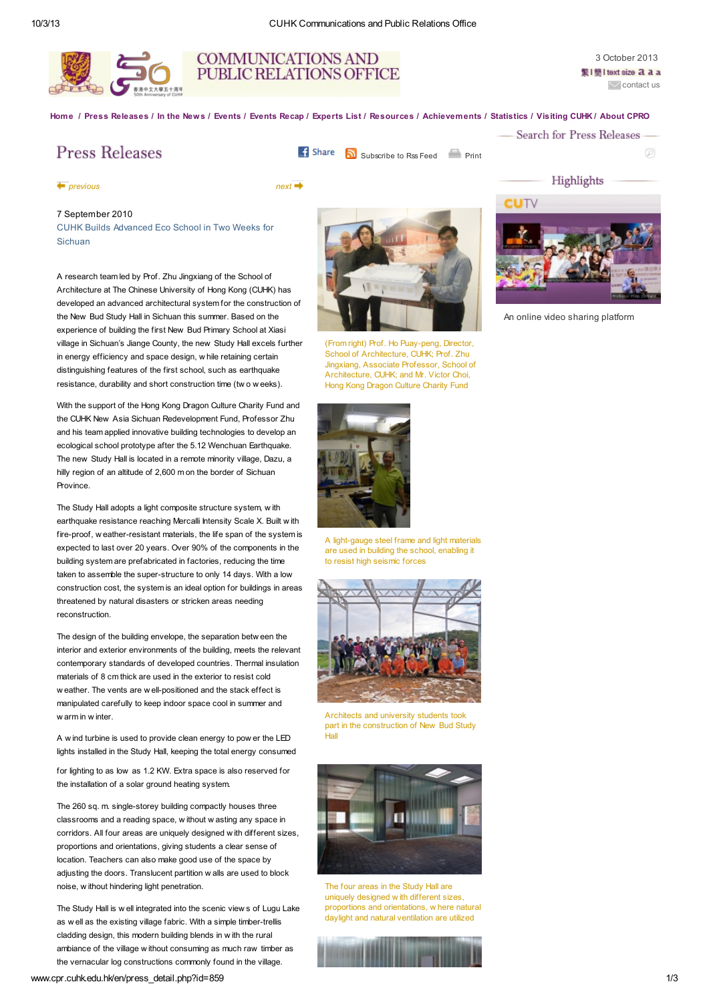



3 October 2013 警I簡 I text size 2 2 2 a  $\overline{\smile}$  [contact](mailto:cpr@cuhk.edu.hk) us

[Home](http://www.cpr.cuhk.edu.hk/en/index.php) / Press [Releases](http://www.cpr.cuhk.edu.hk/en/press.php) / In the [News](http://www.cpr.cuhk.edu.hk/en/newsfiles.php) / [Events](http://www.cpr.cuhk.edu.hk/en/events.php) / [Events](http://www.cpr.cuhk.edu.hk/en/events_recap.php) Recap / [Experts](http://www.cpr.cuhk.edu.hk/en/expert.php) List / Resources / Achievements / Statistics / [Visiting](http://www.cpr.cuhk.edu.hk/en/visit.php) CUHK / [About](http://www.cpr.cuhk.edu.hk/en/about.php) CPRO

**Press Releases** 

CUHK Builds Advanced Eco School in Two Weeks for

A research team led by Prof. Zhu Jingxiang of the School of Architecture at The Chinese University of Hong Kong (CUHK) has developed an advanced architectural system for the construction of the New Bud Study Hall in Sichuan this summer. Based on the experience of building the first New Bud Primary School at Xiasi village in Sichuan's Jiange County, the new Study Hall excels further in energy efficiency and space design, w hile retaining certain distinguishing features of the first school, such as earthquake resistance, durability and short construction time (tw o w eeks). With the support of the Hong Kong Dragon Culture Charity Fund and the CUHK New Asia Sichuan Redevelopment Fund, Professor Zhu and his team applied innovative building technologies to develop an ecological school prototype after the 5.12 Wenchuan Earthquake. The new Study Hall is located in a remote minority village, Dazu, a hilly region of an altitude of 2,600 m on the border of Sichuan

The Study Hall adopts a light composite structure system, w ith earthquake resistance reaching Mercalli Intensity Scale X. Built w ith fire-proof, w eather-resistant materials, the life span of the system is expected to last over 20 years. Over 90% of the components in the building system are prefabricated in factories, reducing the time taken to assemble the super-structure to only 14 days. With a low construction cost, the system is an ideal option for buildings in areas threatened by natural disasters or stricken areas needing

The design of the building envelope, the separation betw een the interior and exterior environments of the building, meets the relevant contemporary standards of developed countries. Thermal insulation materials of 8 cm thick are used in the exterior to resist cold w eather. The vents are w ell-positioned and the stack effect is manipulated carefully to keep indoor space cool in summer and

A w ind turbine is used to provide clean energy to pow er the LED lights installed in the Study Hall, keeping the total energy consumed for lighting to as low as 1.2 KW. Extra space is also reserved for

The 260 sq. m. single-storey building compactly houses three classrooms and a reading space, w ithout w asting any space in corridors. All four areas are uniquely designed w ith different sizes, proportions and orientations, giving students a clear sense of location. Teachers can also make good use of the space by adjusting the doors. Translucent partition w alls are used to block

The Study Hall is w ell integrated into the scenic view s of Lugu Lake as w ell as the existing village fabric. With a simple timber-trellis cladding design, this modern building blends in w ith the rural ambiance of the village w ithout consuming as much raw timber as the vernacular log constructions commonly found in the village.

the installation of a solar ground heating system.

**f** Share **N** [Subscribe](http://www.cpr.cuhk.edu.hk/en/press_rss.php) to Rss Feed **[Print](http://www.cpr.cuhk.edu.hk/en/press_print.php?id=859)** 

-Search for Press Releases

Highlights

∞

[previous](http://www.cpr.cuhk.edu.hk/en/press_detail.php?id=860) [next](http://www.cpr.cuhk.edu.hk/en/press_detail.php?id=854)

Sichuan

Province.

reconstruction.

w arm in w inter.

7 September 2010



(From right) Prof. Ho [Puay-peng,](http://www.cpr.cuhk.edu.hk/resources/press/photo/4c8d97d706b6d.jpg) Director, School of Architecture, CUHK; Prof. Zhu Jingxiang, Associate Professor, School of Architecture, CUHK; and Mr. Victor Choi, Hong Kong Dragon Culture Charity Fund



A [light-gauge](http://www.cpr.cuhk.edu.hk/resources/press/photo/4c8d993384997.jpg) steel frame and light materials are used in building the school, enabling it to resist high seismic forces



[Architects](http://www.cpr.cuhk.edu.hk/resources/press/photo/4c8d98f0216ad.jpg) and university students took part in the construction of New Bud Study .<br>Hal



The four [areas](http://www.cpr.cuhk.edu.hk/resources/press/photo/4c8d98c92cdc8.jpg) in the Study Hall are uniquely designed w ith different sizes, proportions and orientations, w here natural daylight and natural ventilation are utilized



www.cpr.cuhk.edu.hk/en/press\_detail.php?id=859 1/3

noise, w ithout hindering light penetration.





An online video sharing platform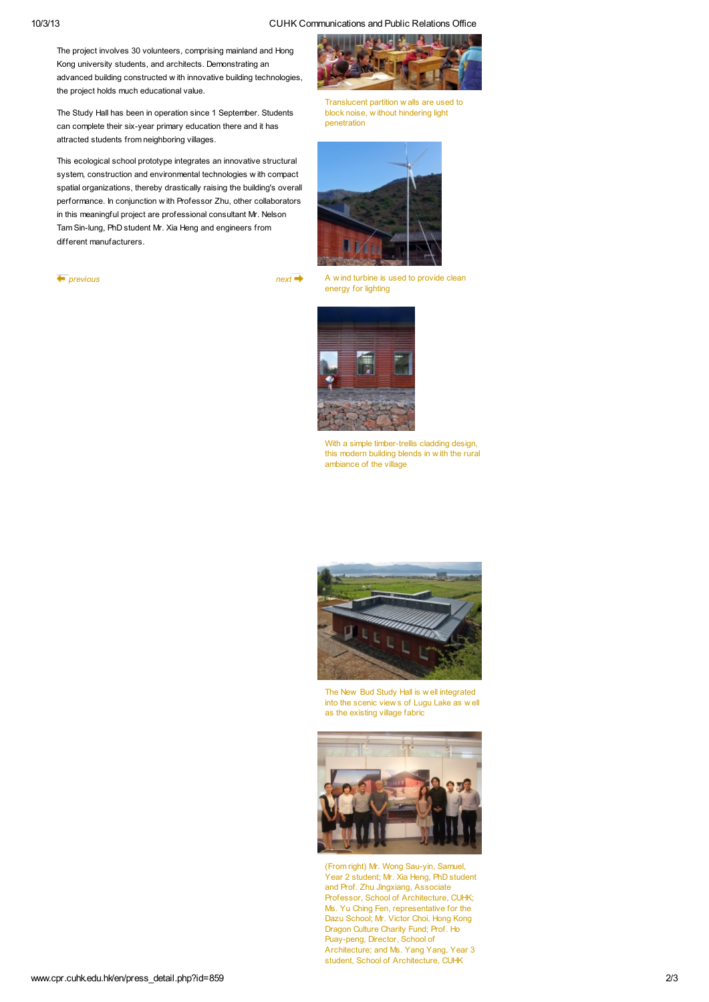10/3/13 CUHK Co[mmunications](http://www.cpr.cuhk.edu.hk/resources/press/photo/4c8d98990a877.jpg) and Public Relations Office

The project involves 30 volunteers, comprising mainland and Hong Kong university students, and architects. Demonstrating an advanced building constructed w ith innovative building technologies, the project holds much educational value.

The Study Hall has been in operation since 1 September. Students can complete their six-year primary education there and it has attracted students from neighboring villages.

This ecological school prototype integrates an innovative structural system, construction and environmental technologies w ith compact spatial organizations, thereby drastically raising the building's overall performance. In conjunction w ith Professor Zhu, other collaborators in this meaningful project are professional consultant Mr. Nelson Tam Sin-lung, PhD student Mr. Xia Heng and engineers from different manufacturers.

 $\longleftarrow$  [previous](http://www.cpr.cuhk.edu.hk/en/press_detail.php?id=860) [next](http://www.cpr.cuhk.edu.hk/en/press_detail.php?id=854)  $\rightarrow$ 



Translucent partition w alls are used to block noise, w ithout hindering light penetration



A w ind [turbine](http://www.cpr.cuhk.edu.hk/resources/press/photo/4c8d98786db61.jpg) is used to provide clean energy for lighting



With a simple [timber-trellis](http://www.cpr.cuhk.edu.hk/resources/press/photo/4c8d984a69e58.jpg) cladding design, this modern building blends in w ith the rural ambiance of the village



The New Bud Study Hall is w ell [integrated](http://www.cpr.cuhk.edu.hk/resources/press/photo/4c8d982a3c1ec.jpg) into the scenic view s of Lugu Lake as w ell as the existing village fabric



(From right) Mr. Wong [Sau-yin,](http://www.cpr.cuhk.edu.hk/resources/press/photo/4c8d97ffd885d.jpg) Samuel, Year 2 student; Mr. Xia Heng, PhD student and Prof. Zhu Jingxiang, Associate Professor, School of Architecture, CUHK; Ms. Yu Ching Fen, representative for the Dazu School; Mr. Victor Choi, Hong Kong Dragon Culture Charity Fund; Prof. Ho Puay-peng, Director, School of Architecture; and Ms. Yang Yang, Year 3 student, School of Architecture, CUHK